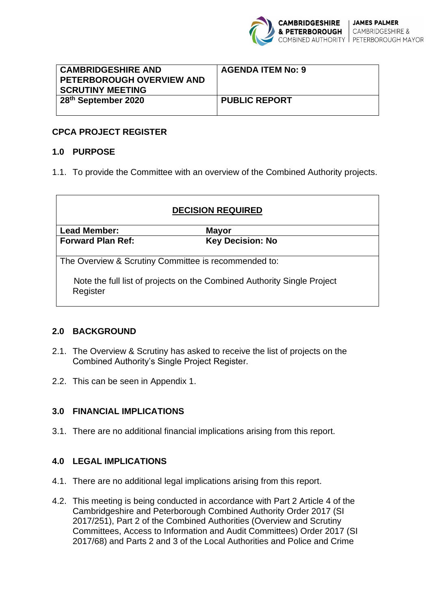

| <b>CAMBRIDGESHIRE AND</b><br><b>PETERBOROUGH OVERVIEW AND</b> | <b>AGENDA ITEM No: 9</b> |
|---------------------------------------------------------------|--------------------------|
| <b>SCRUTINY MEETING</b>                                       |                          |
| ⊦ 28 <sup>th</sup> September 2020                             | <b>PUBLIC REPORT</b>     |

# **CPCA PROJECT REGISTER**

### **1.0 PURPOSE**

1.1. To provide the Committee with an overview of the Combined Authority projects.

| <b>DECISION REQUIRED</b>                             |                                                                         |  |
|------------------------------------------------------|-------------------------------------------------------------------------|--|
| <b>Lead Member:</b>                                  | <b>Mayor</b>                                                            |  |
| <b>Forward Plan Ref:</b>                             | <b>Key Decision: No</b>                                                 |  |
| The Overview & Scrutiny Committee is recommended to: |                                                                         |  |
| Register                                             | Note the full list of projects on the Combined Authority Single Project |  |

## **2.0 BACKGROUND**

- 2.1. The Overview & Scrutiny has asked to receive the list of projects on the Combined Authority's Single Project Register.
- 2.2. This can be seen in Appendix 1.

## **3.0 FINANCIAL IMPLICATIONS**

3.1. There are no additional financial implications arising from this report.

## **4.0 LEGAL IMPLICATIONS**

- 4.1. There are no additional legal implications arising from this report.
- 4.2. This meeting is being conducted in accordance with Part 2 Article 4 of the Cambridgeshire and Peterborough Combined Authority Order 2017 (SI 2017/251), Part 2 of the Combined Authorities (Overview and Scrutiny Committees, Access to Information and Audit Committees) Order 2017 (SI 2017/68) and Parts 2 and 3 of the Local Authorities and Police and Crime